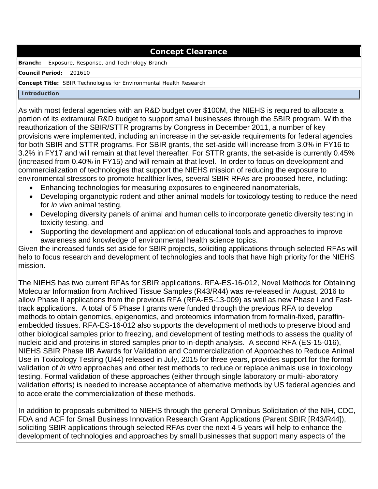### **Concept Clearance**

**Branch:** Exposure, Response, and Technology Branch

**Council Period:** 201610

#### **Concept Title:** SBIR Technologies for Environmental Health Research

#### **Introduction**

As with most federal agencies with an R&D budget over \$100M, the NIEHS is required to allocate a portion of its extramural R&D budget to support small businesses through the SBIR program. With the reauthorization of the SBIR/STTR programs by Congress in December 2011, a number of key provisions were implemented, including an increase in the set-aside requirements for federal agencies for both SBIR and STTR programs. For SBIR grants, the set-aside will increase from 3.0% in FY16 to 3.2% in FY17 and will remain at that level thereafter. For STTR grants, the set-aside is currently 0.45% (increased from 0.40% in FY15) and will remain at that level. In order to focus on development and commercialization of technologies that support the NIEHS mission of reducing the exposure to environmental stressors to promote healthier lives, several SBIR RFAs are proposed here, including:

- Enhancing technologies for measuring exposures to engineered nanomaterials,
- Developing organotypic rodent and other animal models for toxicology testing to reduce the need for *in vivo* animal testing,
- Developing diversity panels of animal and human cells to incorporate genetic diversity testing in toxicity testing, and
- Supporting the development and application of educational tools and approaches to improve awareness and knowledge of environmental health science topics.

Given the increased funds set aside for SBIR projects, soliciting applications through selected RFAs will help to focus research and development of technologies and tools that have high priority for the NIEHS mission.

The NIEHS has two current RFAs for SBIR applications. RFA-ES-16-012, Novel Methods for Obtaining Molecular Information from Archived Tissue Samples (R43/R44) was re-released in August, 2016 to allow Phase II applications from the previous RFA (RFA-ES-13-009) as well as new Phase I and Fasttrack applications. A total of 5 Phase I grants were funded through the previous RFA to develop methods to obtain genomics, epigenomics, and proteomics information from formalin-fixed, paraffinembedded tissues. RFA-ES-16-012 also supports the development of methods to preserve blood and other biological samples prior to freezing, and development of testing methods to assess the quality of nucleic acid and proteins in stored samples prior to in-depth analysis. A second RFA (ES-15-016), NIEHS SBIR Phase IIB Awards for Validation and Commercialization of Approaches to Reduce Animal Use in Toxicology Testing (U44) released in July, 2015 for three years, provides support for the formal validation of *in vitro* approaches and other test methods to reduce or replace animals use in toxicology testing. Formal validation of these approaches (either through single laboratory or multi-laboratory validation efforts) is needed to increase acceptance of alternative methods by US federal agencies and to accelerate the commercialization of these methods.

In addition to proposals submitted to NIEHS through the general Omnibus Solicitation of the NIH, CDC, FDA and ACF for Small Business Innovation Research Grant Applications (Parent SBIR [R43/R44]), soliciting SBIR applications through selected RFAs over the next 4-5 years will help to enhance the development of technologies and approaches by small businesses that support many aspects of the